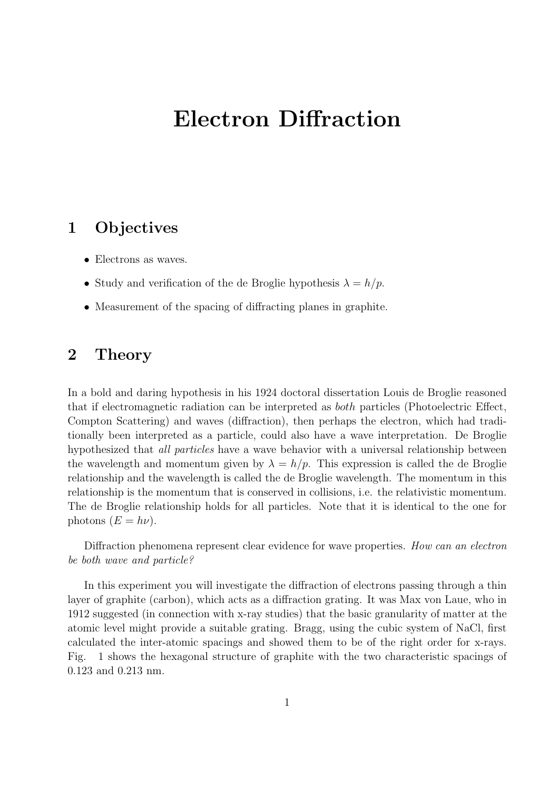# **Electron Diffraction**

### **1 Objectives**

- Electrons as waves.
- Study and verification of the de Broglie hypothesis  $\lambda = h/p$ .
- *•* Measurement of the spacing of diffracting planes in graphite.

#### **2 Theory**

In a bold and daring hypothesis in his 1924 doctoral dissertation Louis de Broglie reasoned that if electromagnetic radiation can be interpreted as *both* particles (Photoelectric Effect, Compton Scattering) and waves (diffraction), then perhaps the electron, which had traditionally been interpreted as a particle, could also have a wave interpretation. De Broglie hypothesized that *all particles* have a wave behavior with a universal relationship between the wavelength and momentum given by  $\lambda = h/p$ . This expression is called the de Broglie relationship and the wavelength is called the de Broglie wavelength. The momentum in this relationship is the momentum that is conserved in collisions, i.e. the relativistic momentum. The de Broglie relationship holds for all particles. Note that it is identical to the one for photons  $(E = h\nu)$ .

Diffraction phenomena represent clear evidence for wave properties. *How can an electron be both wave and particle?*

In this experiment you will investigate the diffraction of electrons passing through a thin layer of graphite (carbon), which acts as a diffraction grating. It was Max von Laue, who in 1912 suggested (in connection with x-ray studies) that the basic granularity of matter at the atomic level might provide a suitable grating. Bragg, using the cubic system of NaCl, first calculated the inter-atomic spacings and showed them to be of the right order for x-rays. Fig. 1 shows the hexagonal structure of graphite with the two characteristic spacings of 0.123 and 0.213 nm.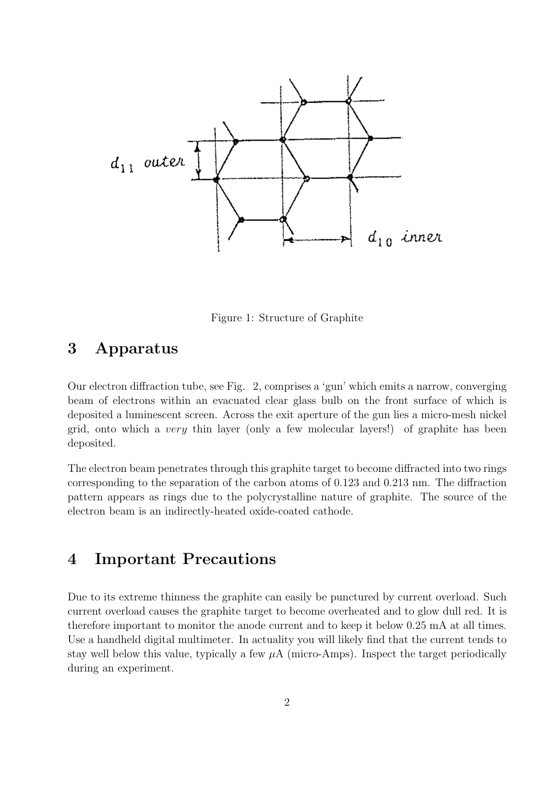

Figure 1: Structure of Graphite

## **3 Apparatus**

Our electron diffraction tube, see Fig. 2, comprises a 'gun' which emits a narrow, converging beam of electrons within an evacuated clear glass bulb on the front surface of which is deposited a luminescent screen. Across the exit aperture of the gun lies a micro-mesh nickel grid, onto which a *very* thin layer (only a few molecular layers!) of graphite has been deposited.

The electron beam penetrates through this graphite target to become diffracted into two rings corresponding to the separation of the carbon atoms of 0.123 and 0.213 nm. The diffraction pattern appears as rings due to the polycrystalline nature of graphite. The source of the electron beam is an indirectly-heated oxide-coated cathode.

### **4 Important Precautions**

Due to its extreme thinness the graphite can easily be punctured by current overload. Such current overload causes the graphite target to become overheated and to glow dull red. It is therefore important to monitor the anode current and to keep it below 0.25 mA at all times. Use a handheld digital multimeter. In actuality you will likely find that the current tends to stay well below this value, typically a few  $\mu A$  (micro-Amps). Inspect the target periodically during an experiment.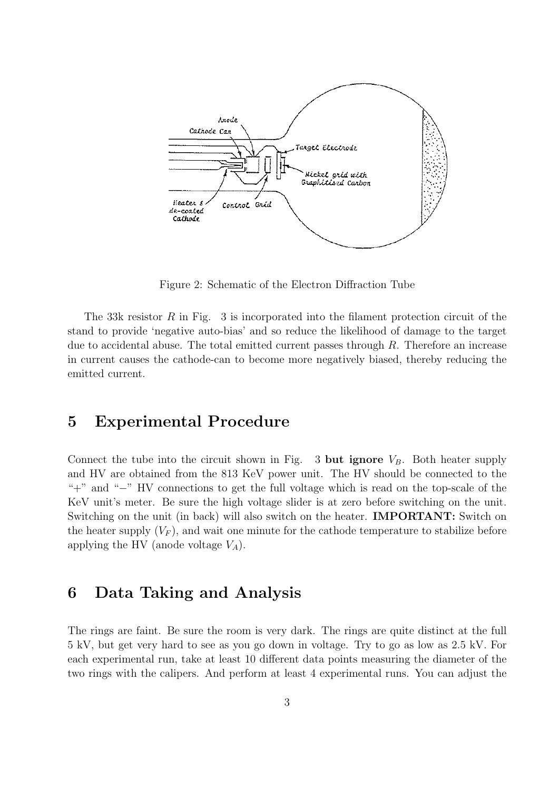

Figure 2: Schematic of the Electron Diffraction Tube

The 33k resistor *R* in Fig. 3 is incorporated into the filament protection circuit of the stand to provide 'negative auto-bias' and so reduce the likelihood of damage to the target due to accidental abuse. The total emitted current passes through *R*. Therefore an increase in current causes the cathode-can to become more negatively biased, thereby reducing the emitted current.

#### **5 Experimental Procedure**

Connect the tube into the circuit shown in Fig. 3 but ignore  $V_B$ . Both heater supply and HV are obtained from the 813 KeV power unit. The HV should be connected to the "+" and "*−*" HV connections to get the full voltage which is read on the top-scale of the KeV unit's meter. Be sure the high voltage slider is at zero before switching on the unit. Switching on the unit (in back) will also switch on the heater. **IMPORTANT:** Switch on the heater supply  $(V_F)$ , and wait one minute for the cathode temperature to stabilize before applying the HV (anode voltage *VA*).

#### **6 Data Taking and Analysis**

The rings are faint. Be sure the room is very dark. The rings are quite distinct at the full 5 kV, but get very hard to see as you go down in voltage. Try to go as low as 2.5 kV. For each experimental run, take at least 10 different data points measuring the diameter of the two rings with the calipers. And perform at least 4 experimental runs. You can adjust the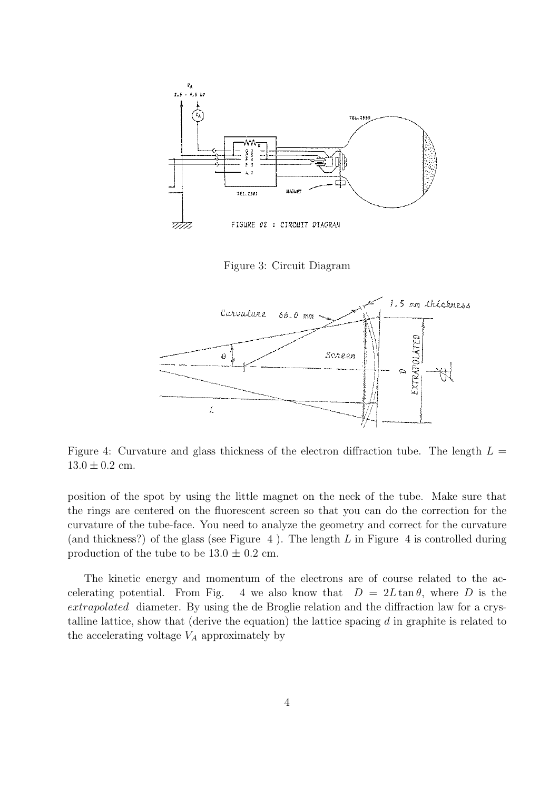

Figure 3: Circuit Diagram



Figure 4: Curvature and glass thickness of the electron diffraction tube. The length  $L =$  $13.0 \pm 0.2$  cm.

position of the spot by using the little magnet on the neck of the tube. Make sure that the rings are centered on the fluorescent screen so that you can do the correction for the curvature of the tube-face. You need to analyze the geometry and correct for the curvature (and thickness?) of the glass (see Figure 4 ). The length *L* in Figure 4 is controlled during production of the tube to be  $13.0 \pm 0.2$  cm.

The kinetic energy and momentum of the electrons are of course related to the accelerating potential. From Fig. 4 we also know that  $D = 2L \tan \theta$ , where *D* is the *extrapolated* diameter. By using the de Broglie relation and the diffraction law for a crystalline lattice, show that (derive the equation) the lattice spacing *d* in graphite is related to the accelerating voltage  $V_A$  approximately by